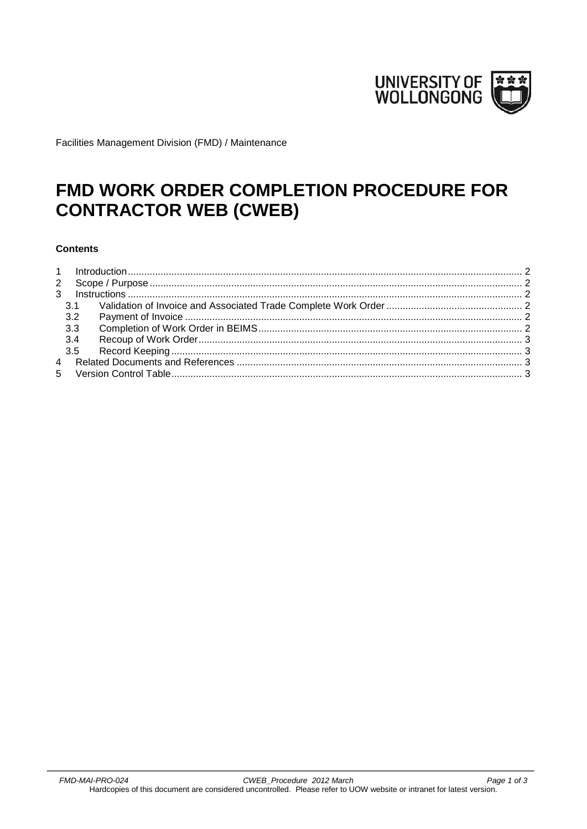

Facilities Management Division (FMD) / Maintenance

# FMD WORK ORDER COMPLETION PROCEDURE FOR **CONTRACTOR WEB (CWEB)**

#### **Contents**

|  | 3.3 | 3.4 |  |  |
|--|-----|-----|--|--|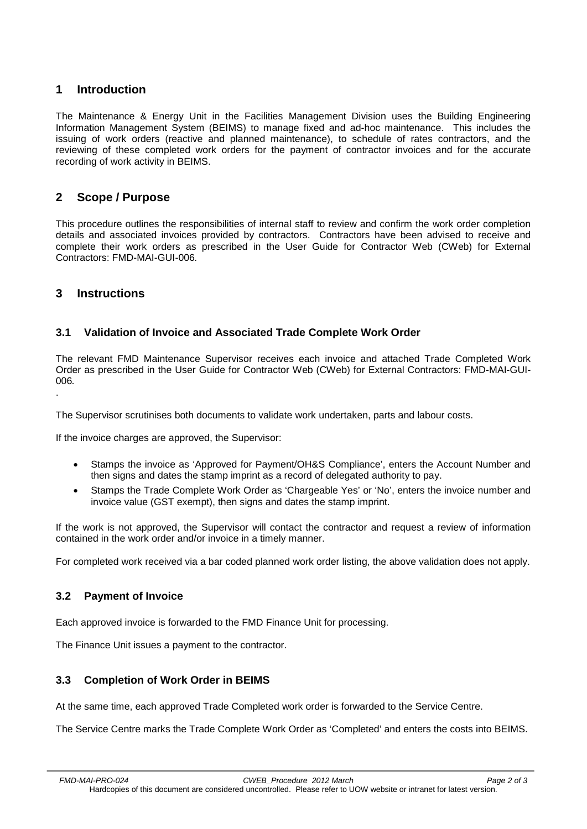## <span id="page-1-0"></span>**1 Introduction**

The Maintenance & Energy Unit in the Facilities Management Division uses the Building Engineering Information Management System (BEIMS) to manage fixed and ad-hoc maintenance. This includes the issuing of work orders (reactive and planned maintenance), to schedule of rates contractors, and the reviewing of these completed work orders for the payment of contractor invoices and for the accurate recording of work activity in BEIMS.

## <span id="page-1-1"></span>**2 Scope / Purpose**

This procedure outlines the responsibilities of internal staff to review and confirm the work order completion details and associated invoices provided by contractors. Contractors have been advised to receive and complete their work orders as prescribed in the User Guide for Contractor Web (CWeb) for External Contractors: FMD-MAI-GUI-006*.*

### <span id="page-1-2"></span>**3 Instructions**

.

### <span id="page-1-3"></span>**3.1 Validation of Invoice and Associated Trade Complete Work Order**

The relevant FMD Maintenance Supervisor receives each invoice and attached Trade Completed Work Order as prescribed in the User Guide for Contractor Web (CWeb) for External Contractors: FMD-MAI-GUI-006*.*

The Supervisor scrutinises both documents to validate work undertaken, parts and labour costs.

If the invoice charges are approved, the Supervisor:

- Stamps the invoice as 'Approved for Payment/OH&S Compliance', enters the Account Number and then signs and dates the stamp imprint as a record of delegated authority to pay.
- Stamps the Trade Complete Work Order as 'Chargeable Yes' or 'No', enters the invoice number and invoice value (GST exempt), then signs and dates the stamp imprint.

If the work is not approved, the Supervisor will contact the contractor and request a review of information contained in the work order and/or invoice in a timely manner.

For completed work received via a bar coded planned work order listing, the above validation does not apply.

### <span id="page-1-4"></span>**3.2 Payment of Invoice**

Each approved invoice is forwarded to the FMD Finance Unit for processing.

The Finance Unit issues a payment to the contractor.

### <span id="page-1-5"></span>**3.3 Completion of Work Order in BEIMS**

At the same time, each approved Trade Completed work order is forwarded to the Service Centre.

The Service Centre marks the Trade Complete Work Order as 'Completed' and enters the costs into BEIMS.